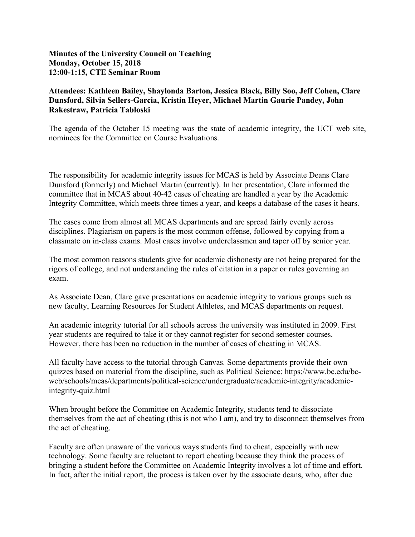**Minutes of the University Council on Teaching Monday, October 15, 2018 12:00-1:15, CTE Seminar Room**

 $\overline{a}$ 

## **Attendees: Kathleen Bailey, Shaylonda Barton, Jessica Black, Billy Soo, Jeff Cohen, Clare Dunsford, Silvia Sellers-Garcia, Kristin Heyer, Michael Martin Gaurie Pandey, John Rakestraw, Patricia Tabloski**

The agenda of the October 15 meeting was the state of academic integrity, the UCT web site, nominees for the Committee on Course Evaluations.

The responsibility for academic integrity issues for MCAS is held by Associate Deans Clare Dunsford (formerly) and Michael Martin (currently). In her presentation, Clare informed the committee that in MCAS about 40-42 cases of cheating are handled a year by the Academic Integrity Committee, which meets three times a year, and keeps a database of the cases it hears.

The cases come from almost all MCAS departments and are spread fairly evenly across disciplines. Plagiarism on papers is the most common offense, followed by copying from a classmate on in-class exams. Most cases involve underclassmen and taper off by senior year.

The most common reasons students give for academic dishonesty are not being prepared for the rigors of college, and not understanding the rules of citation in a paper or rules governing an exam.

As Associate Dean, Clare gave presentations on academic integrity to various groups such as new faculty, Learning Resources for Student Athletes, and MCAS departments on request.

An academic integrity tutorial for all schools across the university was instituted in 2009. First year students are required to take it or they cannot register for second semester courses. However, there has been no reduction in the number of cases of cheating in MCAS.

All faculty have access to the tutorial through Canvas. Some departments provide their own quizzes based on material from the discipline, such as Political Science: https://www.bc.edu/bcweb/schools/mcas/departments/political-science/undergraduate/academic-integrity/academicintegrity-quiz.html

When brought before the Committee on Academic Integrity, students tend to dissociate themselves from the act of cheating (this is not who I am), and try to disconnect themselves from the act of cheating.

Faculty are often unaware of the various ways students find to cheat, especially with new technology. Some faculty are reluctant to report cheating because they think the process of bringing a student before the Committee on Academic Integrity involves a lot of time and effort. In fact, after the initial report, the process is taken over by the associate deans, who, after due